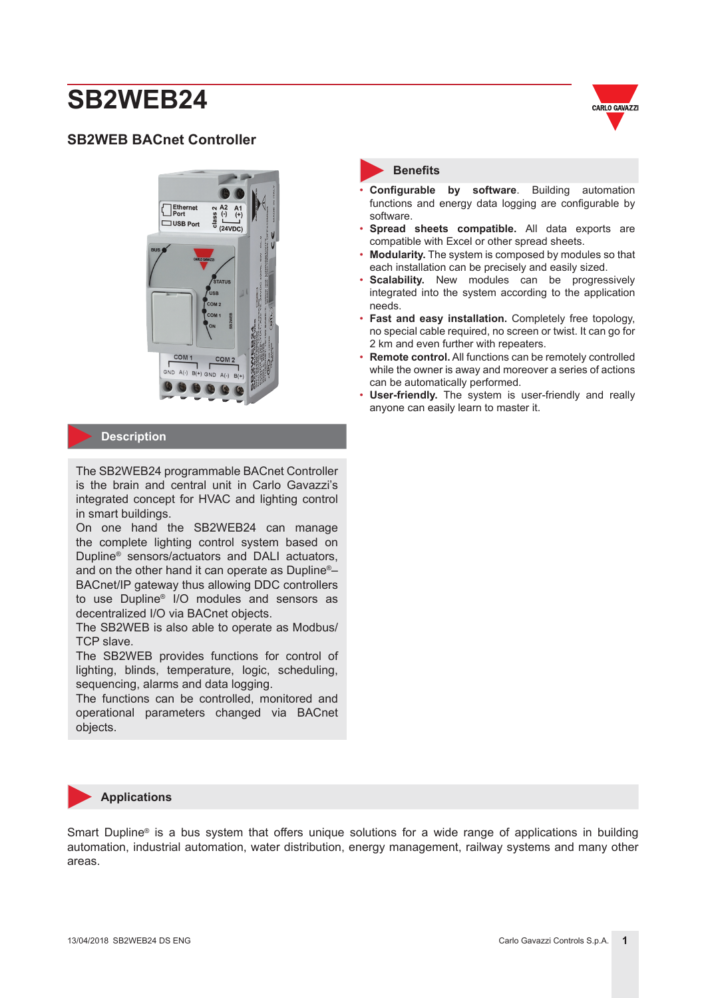## **SB2WEB BACnet Controller**



#### **Description**

The SB2WEB24 programmable BACnet Controller is the brain and central unit in Carlo Gavazzi's integrated concept for HVAC and lighting control in smart buildings.

On one hand the SB2WEB24 can manage the complete lighting control system based on Dupline® sensors/actuators and DALI actuators, and on the other hand it can operate as Dupline®– BACnet/IP gateway thus allowing DDC controllers to use Dupline® I/O modules and sensors as decentralized I/O via BACnet objects.

The SB2WEB is also able to operate as Modbus/ TCP slave.

The SB2WEB provides functions for control of lighting, blinds, temperature, logic, scheduling, sequencing, alarms and data logging.

The functions can be controlled, monitored and operational parameters changed via BACnet objects.



#### **Benefits**

- **Configurable by software**. Building automation functions and energy data logging are configurable by software.
- **Spread sheets compatible.** All data exports are compatible with Excel or other spread sheets.
- **Modularity.** The system is composed by modules so that each installation can be precisely and easily sized.
- **Scalability.** New modules can be progressively integrated into the system according to the application needs.
- **Fast and easy installation.** Completely free topology, no special cable required, no screen or twist. It can go for 2 km and even further with repeaters.
- **Remote control.** All functions can be remotely controlled while the owner is away and moreover a series of actions can be automatically performed.
- **User-friendly.** The system is user-friendly and really anyone can easily learn to master it.

#### **Applications**

Smart Dupline® is a bus system that offers unique solutions for a wide range of applications in building automation, industrial automation, water distribution, energy management, railway systems and many other areas.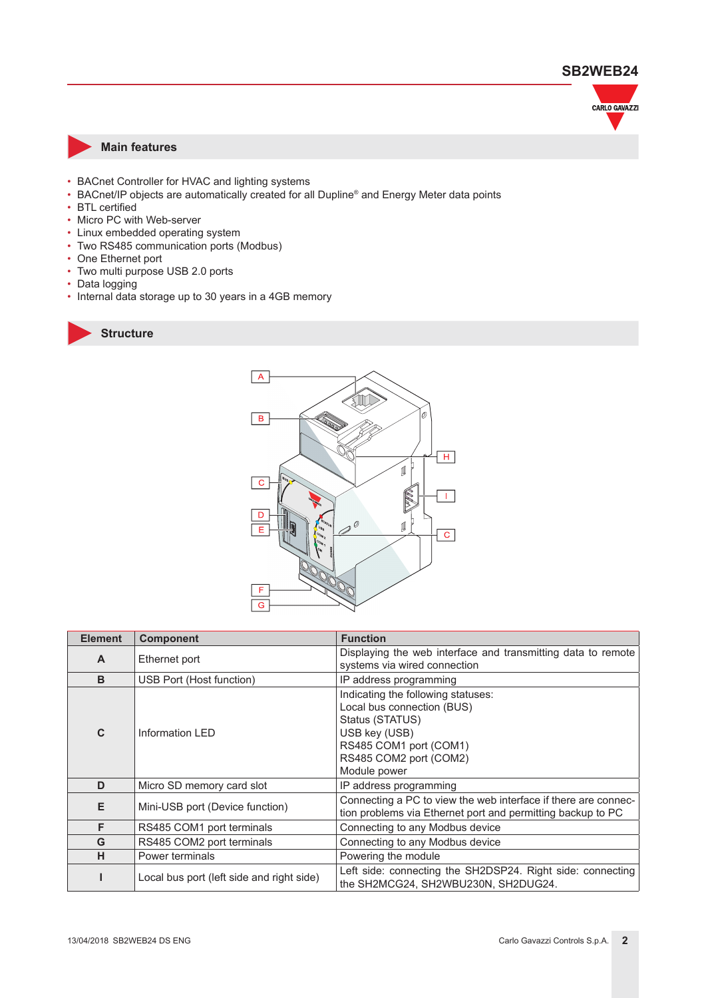

#### **Main features**

- BACnet Controller for HVAC and lighting systems
- BACnet/IP objects are automatically created for all Dupline® and Energy Meter data points
- BTL certified
- Micro PC with Web-server
- Linux embedded operating system
- Two RS485 communication ports (Modbus)
- One Ethernet port
- Two multi purpose USB 2.0 ports
- Data logging
- Internal data storage up to 30 years in a 4GB memory





| <b>Element</b>                            | <b>Component</b>                | <b>Function</b>                                                                                                                                                          |  |  |
|-------------------------------------------|---------------------------------|--------------------------------------------------------------------------------------------------------------------------------------------------------------------------|--|--|
| $\mathbf{A}$                              | Ethernet port                   | Displaying the web interface and transmitting data to remote<br>systems via wired connection                                                                             |  |  |
| B                                         | USB Port (Host function)        | IP address programming                                                                                                                                                   |  |  |
| $\mathbf{C}$                              | Information LED                 | Indicating the following statuses:<br>Local bus connection (BUS)<br>Status (STATUS)<br>USB key (USB)<br>RS485 COM1 port (COM1)<br>RS485 COM2 port (COM2)<br>Module power |  |  |
| D                                         | Micro SD memory card slot       | IP address programming                                                                                                                                                   |  |  |
| Е                                         | Mini-USB port (Device function) | Connecting a PC to view the web interface if there are connec-<br>tion problems via Ethernet port and permitting backup to PC                                            |  |  |
| F                                         | RS485 COM1 port terminals       | Connecting to any Modbus device                                                                                                                                          |  |  |
| G                                         | RS485 COM2 port terminals       | Connecting to any Modbus device                                                                                                                                          |  |  |
| н                                         | Power terminals                 | Powering the module                                                                                                                                                      |  |  |
| Local bus port (left side and right side) |                                 | Left side: connecting the SH2DSP24. Right side: connecting<br>the SH2MCG24, SH2WBU230N, SH2DUG24.                                                                        |  |  |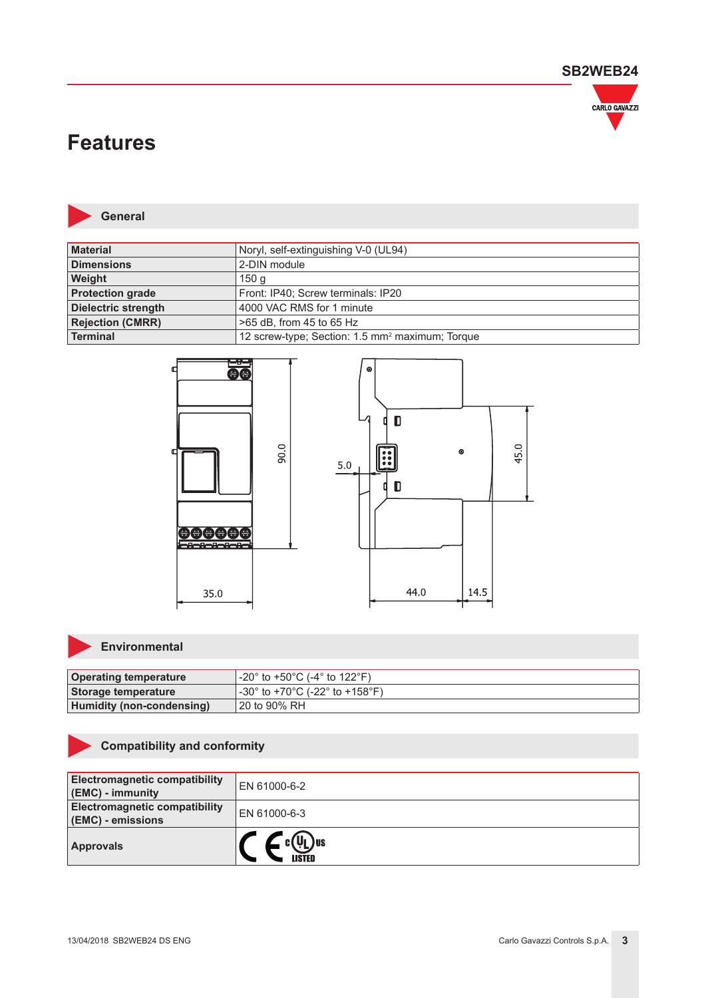

## **Features**



**General**

| <b>Material</b>            | Noryl, self-extinguishing V-0 (UL94)                        |
|----------------------------|-------------------------------------------------------------|
| <b>Dimensions</b>          | 2-DIN module                                                |
| Weight                     | 150 g                                                       |
| <b>Protection grade</b>    | Front: IP40; Screw terminals: IP20                          |
| <b>Dielectric strength</b> | 4000 VAC RMS for 1 minute                                   |
| <b>Rejection (CMRR)</b>    | >65 dB, from 45 to 65 Hz                                    |
| Terminal                   | 12 screw-type; Section: 1.5 mm <sup>2</sup> maximum; Torque |



## **Environmental**

| <b>Operating temperature</b>     | $-20^{\circ}$ to +50°C (-4° to 122°F). |
|----------------------------------|----------------------------------------|
| Storage temperature              | l -30° to +70°C (-22° to +158°F).      |
| <b>Humidity (non-condensing)</b> | 120 to 90% RH                          |

## **Compatibility and conformity**

| <b>Electromagnetic compatibility</b><br>(EMC) - immunity  | EN 61000-6-2             |
|-----------------------------------------------------------|--------------------------|
| <b>Electromagnetic compatibility</b><br>(EMC) - emissions | EN 61000-6-3             |
| <b>Approvals</b>                                          | VL ) us<br><b>\ISTED</b> |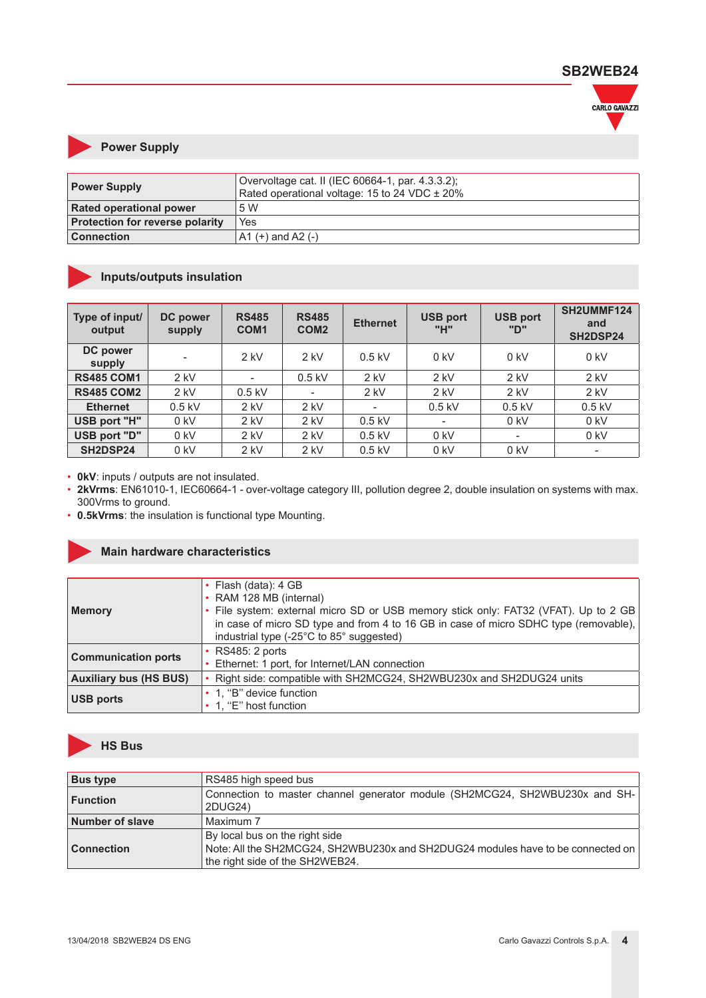

#### **Power Supply**

| <b>Power Supply</b>                    | Overvoltage cat. II (IEC 60664-1, par. 4.3.3.2);<br>Rated operational voltage: 15 to 24 VDC ± 20% |
|----------------------------------------|---------------------------------------------------------------------------------------------------|
| <b>Rated operational power</b>         | .5 W                                                                                              |
| <b>Protection for reverse polarity</b> | Yes                                                                                               |
| <b>Connection</b>                      | $A1 (+)$ and A2 $(-)$                                                                             |

## **Inputs/outputs insulation**

| Type of input/<br>output | DC power<br>supply | <b>RS485</b><br>COM <sub>1</sub> | <b>RS485</b><br>COM <sub>2</sub> | <b>Ethernet</b>          | <b>USB port</b><br>"H"   | <b>USB port</b><br>"ח"   | SH2UMMF124<br>and<br>SH2DSP24 |
|--------------------------|--------------------|----------------------------------|----------------------------------|--------------------------|--------------------------|--------------------------|-------------------------------|
| DC power<br>supply       |                    | $2$ kV                           | $2$ kV                           | $0.5$ kV                 | $0$ kV                   | $0$ kV                   | $0$ kV                        |
| <b>RS485 COM1</b>        | $2$ kV             | $\overline{\phantom{a}}$         | $0.5$ kV                         | $2$ kV                   | $2$ kV                   | $2$ kV                   | $2$ kV                        |
| <b>RS485 COM2</b>        | $2$ kV             | $0.5$ kV                         |                                  | $2$ kV                   | $2$ kV                   | $2$ kV                   | $2$ kV                        |
| <b>Ethernet</b>          | $0.5$ kV           | $2$ kV                           | $2$ kV                           | $\overline{\phantom{a}}$ | $0.5$ kV                 | $0.5$ kV                 | $0.5$ kV                      |
| USB port "H"             | $0$ kV             | $2$ kV                           | $2$ kV                           | $0.5$ kV                 | $\overline{\phantom{a}}$ | $0$ kV                   | $0$ kV                        |
| USB port "D"             | $0$ kV             | $2$ kV                           | $2$ kV                           | $0.5$ kV                 | $0$ kV                   | $\overline{\phantom{a}}$ | $0$ kV                        |
| SH2DSP24                 | $0$ kV             | $2$ kV                           | $2$ kV                           | $0.5$ kV                 | $0$ kV                   | $0$ kV                   |                               |

• **0kV**: inputs / outputs are not insulated.

• **2kVrms**: EN61010-1, IEC60664-1 - over-voltage category III, pollution degree 2, double insulation on systems with max. 300Vrms to ground.

• **0.5kVrms**: the insulation is functional type Mounting.

#### **Main hardware characteristics**

|                               | • Flash (data): 4 GB                                                                 |
|-------------------------------|--------------------------------------------------------------------------------------|
|                               | • RAM 128 MB (internal)                                                              |
| Memory                        | File system: external micro SD or USB memory stick only: FAT32 (VFAT). Up to 2 GB    |
|                               | in case of micro SD type and from 4 to 16 GB in case of micro SDHC type (removable), |
|                               | industrial type (-25°C to 85° suggested)                                             |
|                               | <b>RS485: 2 ports</b>                                                                |
| <b>Communication ports</b>    | Ethernet: 1 port, for Internet/LAN connection                                        |
| <b>Auxiliary bus (HS BUS)</b> | Right side: compatible with SH2MCG24, SH2WBU230x and SH2DUG24 units                  |
|                               | • 1, "B" device function                                                             |
| <b>USB ports</b>              | 1, "E" host function                                                                 |



| <b>Bus type</b>   | RS485 high speed bus                                                                                                                                 |
|-------------------|------------------------------------------------------------------------------------------------------------------------------------------------------|
| ∣ Function        | Connection to master channel generator module (SH2MCG24, SH2WBU230x and SH-<br>2DUG24)                                                               |
| Number of slave   | Maximum 7                                                                                                                                            |
| <b>Connection</b> | By local bus on the right side<br>Note: All the SH2MCG24, SH2WBU230x and SH2DUG24 modules have to be connected on<br>the right side of the SH2WEB24. |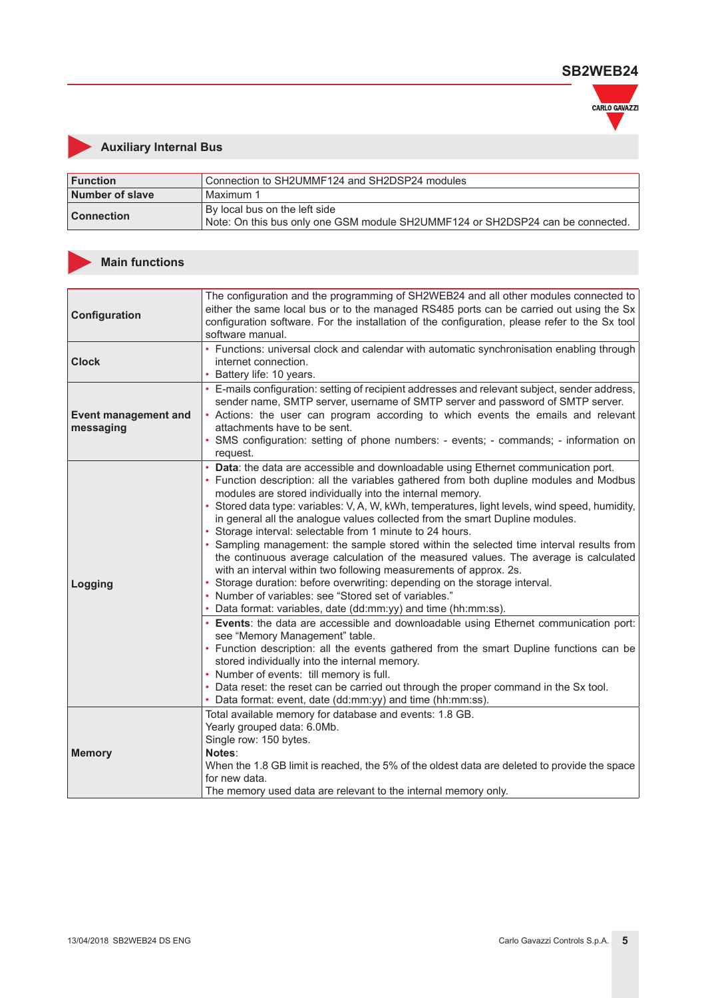

## **Auxiliary Internal Bus**

| <b>Function</b>   | Connection to SH2UMMF124 and SH2DSP24 modules                                                                   |
|-------------------|-----------------------------------------------------------------------------------------------------------------|
| Number of slave   | l Maximum 1                                                                                                     |
| <b>Connection</b> | By local bus on the left side<br>Note: On this bus only one GSM module SH2UMMF124 or SH2DSP24 can be connected. |

## **Main functions**

| Configuration                            | The configuration and the programming of SH2WEB24 and all other modules connected to<br>either the same local bus or to the managed RS485 ports can be carried out using the Sx<br>configuration software. For the installation of the configuration, please refer to the Sx tool<br>software manual.                                                                                                                                                                                                                                                                                                                                                                                                                                                                                                                                                                                                                                                                                                                                                                                                                                                                                                                                                                                                                                                                                                                                 |
|------------------------------------------|---------------------------------------------------------------------------------------------------------------------------------------------------------------------------------------------------------------------------------------------------------------------------------------------------------------------------------------------------------------------------------------------------------------------------------------------------------------------------------------------------------------------------------------------------------------------------------------------------------------------------------------------------------------------------------------------------------------------------------------------------------------------------------------------------------------------------------------------------------------------------------------------------------------------------------------------------------------------------------------------------------------------------------------------------------------------------------------------------------------------------------------------------------------------------------------------------------------------------------------------------------------------------------------------------------------------------------------------------------------------------------------------------------------------------------------|
| <b>Clock</b>                             | • Functions: universal clock and calendar with automatic synchronisation enabling through<br>internet connection.<br>• Battery life: 10 years.                                                                                                                                                                                                                                                                                                                                                                                                                                                                                                                                                                                                                                                                                                                                                                                                                                                                                                                                                                                                                                                                                                                                                                                                                                                                                        |
| <b>Event management and</b><br>messaging | • E-mails configuration: setting of recipient addresses and relevant subject, sender address,<br>sender name, SMTP server, username of SMTP server and password of SMTP server.<br>• Actions: the user can program according to which events the emails and relevant<br>attachments have to be sent.<br>· SMS configuration: setting of phone numbers: - events; - commands; - information on<br>request.                                                                                                                                                                                                                                                                                                                                                                                                                                                                                                                                                                                                                                                                                                                                                                                                                                                                                                                                                                                                                             |
| Logging                                  | • Data: the data are accessible and downloadable using Ethernet communication port.<br>• Function description: all the variables gathered from both dupline modules and Modbus<br>modules are stored individually into the internal memory.<br>• Stored data type: variables: V, A, W, kWh, temperatures, light levels, wind speed, humidity,<br>in general all the analogue values collected from the smart Dupline modules.<br>• Storage interval: selectable from 1 minute to 24 hours.<br>• Sampling management: the sample stored within the selected time interval results from<br>the continuous average calculation of the measured values. The average is calculated<br>with an interval within two following measurements of approx. 2s.<br>• Storage duration: before overwriting: depending on the storage interval.<br>• Number of variables: see "Stored set of variables."<br>• Data format: variables, date (dd:mm:yy) and time (hh:mm:ss).<br>• Events: the data are accessible and downloadable using Ethernet communication port:<br>see "Memory Management" table.<br>• Function description: all the events gathered from the smart Dupline functions can be<br>stored individually into the internal memory.<br>• Number of events: till memory is full.<br>• Data reset: the reset can be carried out through the proper command in the Sx tool.<br>• Data format: event, date (dd:mm:yy) and time (hh:mm:ss). |
| <b>Memory</b>                            | Total available memory for database and events: 1.8 GB.<br>Yearly grouped data: 6.0Mb.<br>Single row: 150 bytes.<br>Notes:<br>When the 1.8 GB limit is reached, the 5% of the oldest data are deleted to provide the space<br>for new data.<br>The memory used data are relevant to the internal memory only.                                                                                                                                                                                                                                                                                                                                                                                                                                                                                                                                                                                                                                                                                                                                                                                                                                                                                                                                                                                                                                                                                                                         |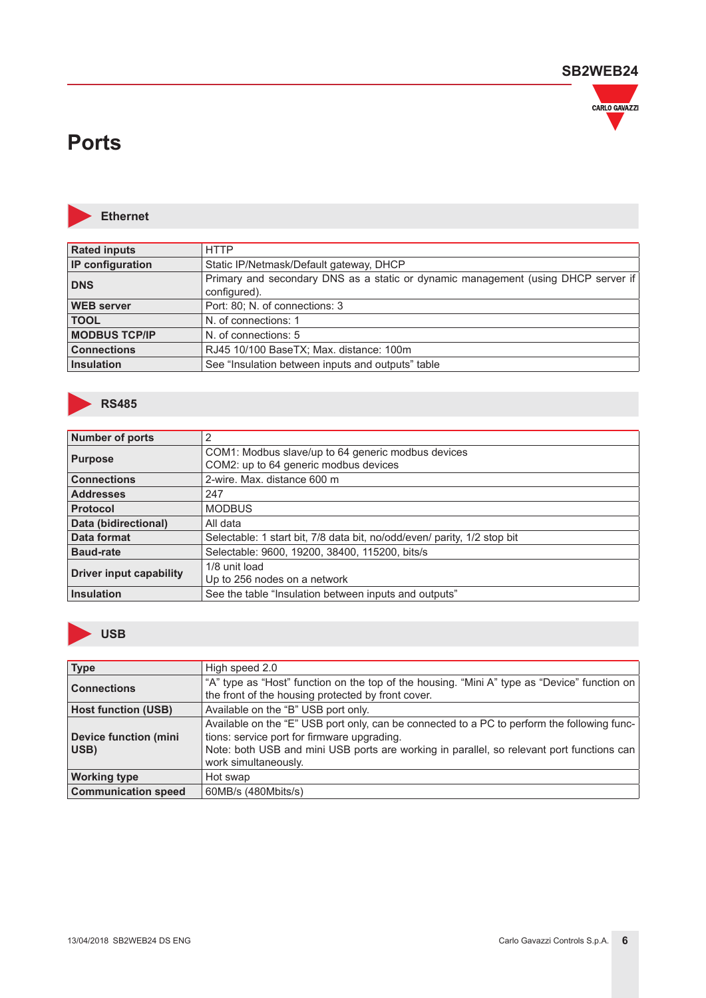

## **Ports**



**Ethernet**

| <b>Rated inputs</b>     | <b>HTTP</b>                                                                                       |
|-------------------------|---------------------------------------------------------------------------------------------------|
| <b>IP</b> configuration | Static IP/Netmask/Default gateway, DHCP                                                           |
| <b>DNS</b>              | Primary and secondary DNS as a static or dynamic management (using DHCP server if<br>configured). |
| <b>WEB</b> server       | Port: 80; N. of connections: 3                                                                    |
| <b>TOOL</b>             | N. of connections: 1                                                                              |
| <b>MODBUS TCP/IP</b>    | N. of connections: 5                                                                              |
| <b>Connections</b>      | RJ45 10/100 BaseTX; Max. distance: 100m                                                           |
| Insulation              | See "Insulation between inputs and outputs" table                                                 |
|                         |                                                                                                   |



| <b>Number of ports</b>         | 2                                                                        |
|--------------------------------|--------------------------------------------------------------------------|
| <b>Purpose</b>                 | COM1: Modbus slave/up to 64 generic modbus devices                       |
|                                | COM2: up to 64 generic modbus devices                                    |
| <b>Connections</b>             | 2-wire. Max. distance 600 m                                              |
| <b>Addresses</b>               | 247                                                                      |
| <b>Protocol</b>                | <b>MODBUS</b>                                                            |
| Data (bidirectional)           | All data                                                                 |
| Data format                    | Selectable: 1 start bit, 7/8 data bit, no/odd/even/ parity, 1/2 stop bit |
| <b>Baud-rate</b>               | Selectable: 9600, 19200, 38400, 115200, bits/s                           |
| <b>Driver input capability</b> | 1/8 unit load                                                            |
|                                | Up to 256 nodes on a network                                             |
| <b>Insulation</b>              | See the table "Insulation between inputs and outputs"                    |



| <b>Type</b>                                                                                                                                                              | High speed 2.0                                                                                                                                                                                                                                                  |
|--------------------------------------------------------------------------------------------------------------------------------------------------------------------------|-----------------------------------------------------------------------------------------------------------------------------------------------------------------------------------------------------------------------------------------------------------------|
| "A" type as "Host" function on the top of the housing. "Mini A" type as "Device" function on<br><b>Connections</b><br>the front of the housing protected by front cover. |                                                                                                                                                                                                                                                                 |
| <b>Host function (USB)</b>                                                                                                                                               | Available on the "B" USB port only.                                                                                                                                                                                                                             |
| <b>Device function (mini</b><br>USB)                                                                                                                                     | Available on the "E" USB port only, can be connected to a PC to perform the following func-<br>tions: service port for firmware upgrading.<br>Note: both USB and mini USB ports are working in parallel, so relevant port functions can<br>work simultaneously. |
| <b>Working type</b>                                                                                                                                                      | Hot swap                                                                                                                                                                                                                                                        |
| <b>Communication speed</b>                                                                                                                                               | 60MB/s (480Mbits/s)                                                                                                                                                                                                                                             |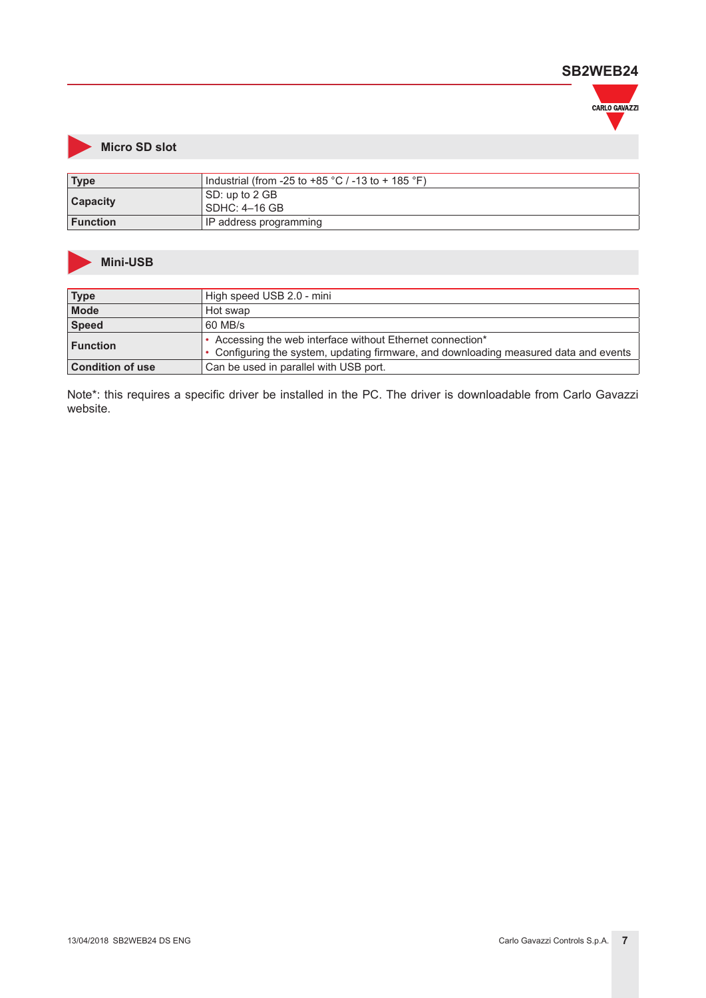

## **Micro SD slot**

| <b>Type</b>     | Industrial (from -25 to +85 $^{\circ}$ C / -13 to + 185 $^{\circ}$ F) |  |  |
|-----------------|-----------------------------------------------------------------------|--|--|
| <b>Capacity</b> | SD: up to 2 GB<br>  SDHC: 4–16 GB                                     |  |  |
| <b>Function</b> | IP address programming                                                |  |  |

#### **Mini-USB**

| <b>Type</b>             | High speed USB 2.0 - mini                                                             |
|-------------------------|---------------------------------------------------------------------------------------|
| <b>Mode</b>             | Hot swap                                                                              |
| <b>Speed</b>            | 60 MB/s                                                                               |
| <b>Function</b>         | • Accessing the web interface without Ethernet connection*                            |
|                         | • Configuring the system, updating firmware, and downloading measured data and events |
| <b>Condition of use</b> | Can be used in parallel with USB port.                                                |

Note\*: this requires a specific driver be installed in the PC. The driver is downloadable from Carlo Gavazzi website.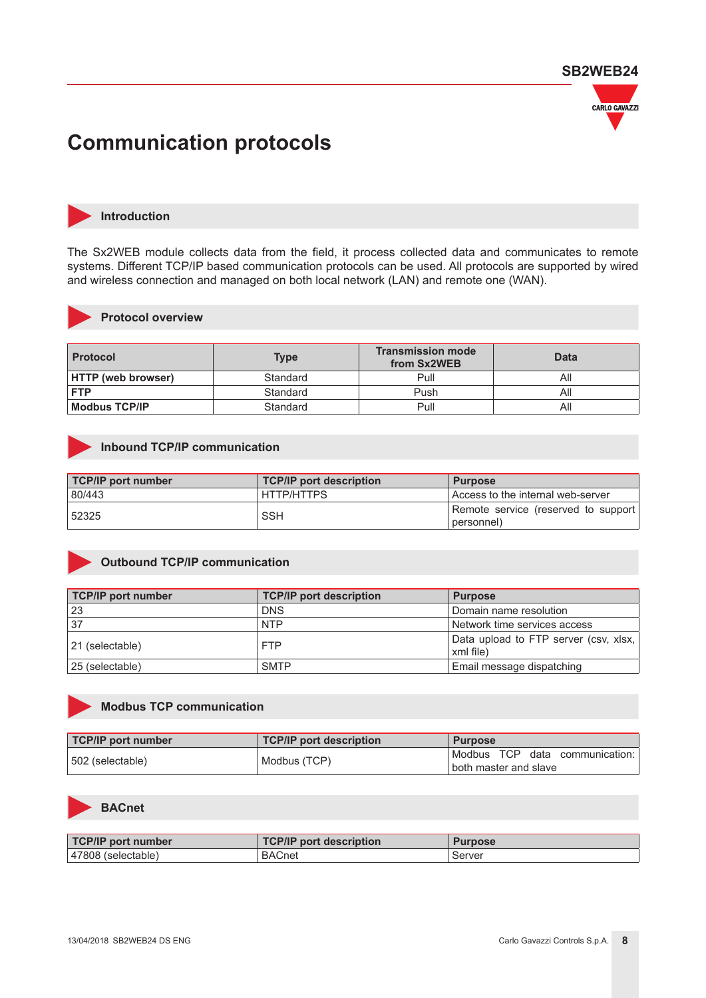

## **Communication protocols**



#### **Introduction**

The Sx2WEB module collects data from the field, it process collected data and communicates to remote systems. Different TCP/IP based communication protocols can be used. All protocols are supported by wired and wireless connection and managed on both local network (LAN) and remote one (WAN).



#### **Protocol overview**

| <b>Protocol</b>           | Type     | <b>Transmission mode</b><br>from Sx2WEB | <b>Data</b> |
|---------------------------|----------|-----------------------------------------|-------------|
| <b>HTTP (web browser)</b> | Standard | Pull                                    | All         |
| <b>FTP</b>                | Standard | Push                                    | All         |
| <b>Modbus TCP/IP</b>      | Standard | Pull                                    | All         |

#### **Inbound TCP/IP communication**

| <b>TCP/IP port number</b> | <b>TCP/IP port description</b> | <b>Purpose</b>                                      |
|---------------------------|--------------------------------|-----------------------------------------------------|
| 80/443                    | HTTP/HTTPS                     | l Access to the internal web-server                 |
| 52325                     | <b>SSH</b>                     | Remote service (reserved to support)<br>(personnel) |

#### **Outbound TCP/IP communication**

| <b>TCP/IP port number</b> | <b>TCP/IP port description</b> | <b>Purpose</b>                                     |
|---------------------------|--------------------------------|----------------------------------------------------|
| -23                       | <b>DNS</b>                     | Domain name resolution                             |
| 37                        | <b>NTP</b>                     | Network time services access                       |
| 21 (selectable)           | <b>FTP</b>                     | Data upload to FTP server (csv, xlsx,<br>xml file) |
| 25 (selectable)           | <b>SMTP</b>                    | Email message dispatching                          |



#### **Modbus TCP communication**

| <b>TCP/IP port number</b> | TCP/IP port description | <b>Purpose</b>                 |
|---------------------------|-------------------------|--------------------------------|
| l 502 (selectable)        | Modbus (TCP)            | Modbus TCP data communication: |
|                           |                         | l both master and slave        |



#### **BACnet**

| <b>TCP/IP port number</b> | TCP/IP<br>oort description | Purpose |
|---------------------------|----------------------------|---------|
| 47808<br>(selectable)     | <b>BACnet</b>              | Server  |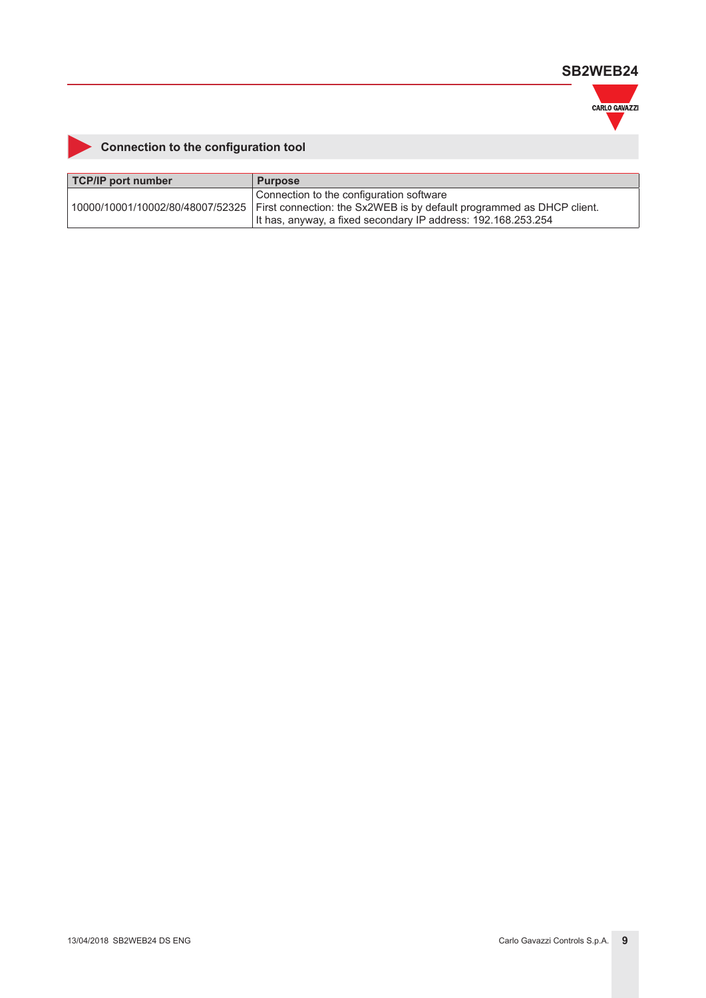

## **Connection to the configuration tool**

| TCP/IP port number | <b>Purpose</b>                                                                                                                                                                                                         |
|--------------------|------------------------------------------------------------------------------------------------------------------------------------------------------------------------------------------------------------------------|
|                    | Connection to the configuration software<br> 10000/10001/10002/80/48007/52325   First connection: the Sx2WEB is by default programmed as DHCP client.<br>It has, anyway, a fixed secondary IP address: 192.168.253.254 |